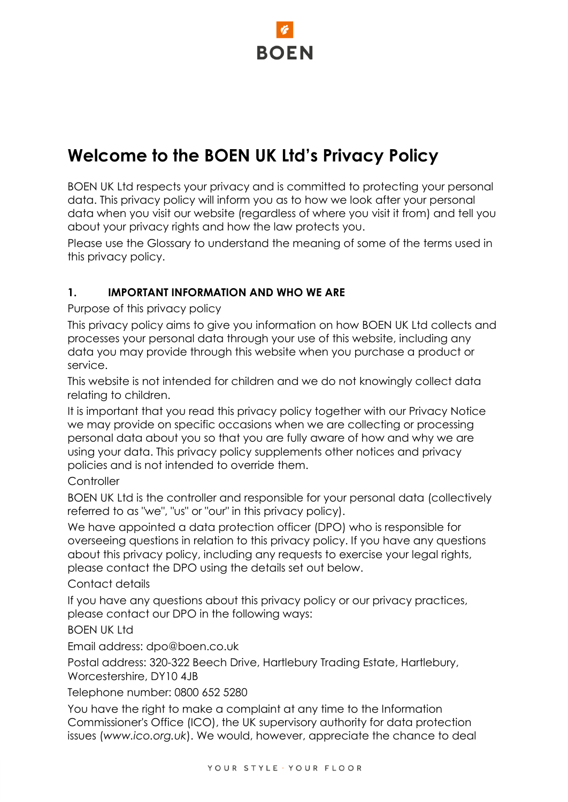

# **Welcome to the BOEN UK Ltd's Privacy Policy**

BOEN UK Ltd respects your privacy and is committed to protecting your personal data. This privacy policy will inform you as to how we look after your personal data when you visit our website (regardless of where you visit it from) and tell you about your privacy rights and how the law protects you.

Please use the Glossary to understand the meaning of some of the terms used in this privacy policy.

## **1. IMPORTANT INFORMATION AND WHO WE ARE**

Purpose of this privacy policy

This privacy policy aims to give you information on how BOEN UK Ltd collects and processes your personal data through your use of this website, including any data you may provide through this website when you purchase a product or service.

This website is not intended for children and we do not knowingly collect data relating to children.

It is important that you read this privacy policy together with our Privacy Notice we may provide on specific occasions when we are collecting or processing personal data about you so that you are fully aware of how and why we are using your data. This privacy policy supplements other notices and privacy policies and is not intended to override them.

**Controller** 

BOEN UK Ltd is the controller and responsible for your personal data (collectively referred to as "we", "us" or "our" in this privacy policy).

We have appointed a data protection officer (DPO) who is responsible for overseeing questions in relation to this privacy policy. If you have any questions about this privacy policy, including any requests to exercise your legal rights, please contact the DPO using the details set out below.

Contact details

If you have any questions about this privacy policy or our privacy practices, please contact our DPO in the following ways:

BOEN UK Ltd

Email address: dpo@boen.co.uk

Postal address: 320-322 Beech Drive, Hartlebury Trading Estate, Hartlebury, Worcestershire, DY10 4JB

Telephone number: 0800 652 5280

You have the right to make a complaint at any time to the Information Commissioner's Office (ICO), the UK supervisory authority for data protection issues (*www.ico.org.uk*). We would, however, appreciate the chance to deal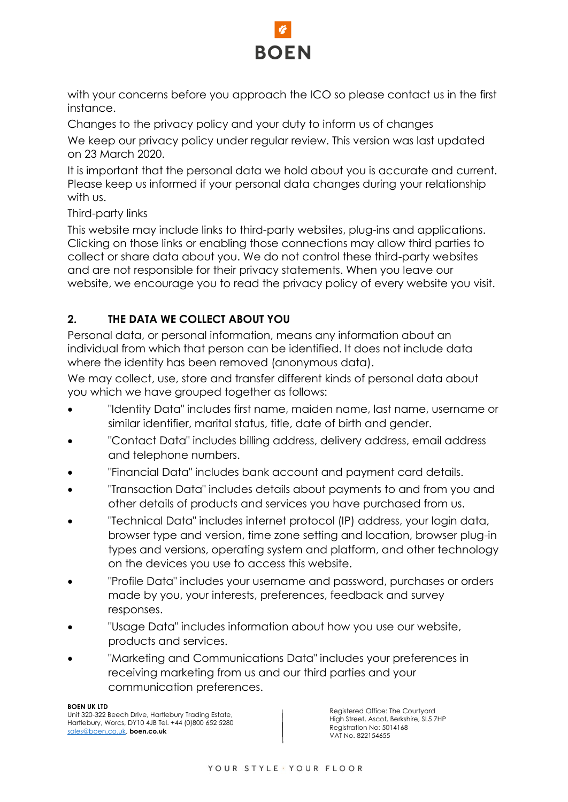

with your concerns before you approach the ICO so please contact us in the first instance.

Changes to the privacy policy and your duty to inform us of changes

We keep our privacy policy under regular review. This version was last updated on 23 March 2020.

It is important that the personal data we hold about you is accurate and current. Please keep us informed if your personal data changes during your relationship with us.

Third-party links

This website may include links to third-party websites, plug-ins and applications. Clicking on those links or enabling those connections may allow third parties to collect or share data about you. We do not control these third-party websites and are not responsible for their privacy statements. When you leave our website, we encourage you to read the privacy policy of every website you visit.

## **2. THE DATA WE COLLECT ABOUT YOU**

Personal data, or personal information, means any information about an individual from which that person can be identified. It does not include data where the identity has been removed (anonymous data).

We may collect, use, store and transfer different kinds of personal data about you which we have grouped together as follows:

- "Identity Data" includes first name, maiden name, last name, username or similar identifier, marital status, title, date of birth and gender.
- "Contact Data" includes billing address, delivery address, email address and telephone numbers.
- "Financial Data" includes bank account and payment card details.
- "Transaction Data" includes details about payments to and from you and other details of products and services you have purchased from us.
- "Technical Data" includes internet protocol (IP) address, your login data, browser type and version, time zone setting and location, browser plug-in types and versions, operating system and platform, and other technology on the devices you use to access this website.
- "Profile Data" includes your username and password, purchases or orders made by you, your interests, preferences, feedback and survey responses.
- "Usage Data" includes information about how you use our website, products and services.
- "Marketing and Communications Data" includes your preferences in receiving marketing from us and our third parties and your communication preferences.

#### **BOEN UK LTD**

Unit 320-322 Beech Drive, Hartlebury Trading Estate, Hartlebury, Worcs, DY10 4JB Tel. +44 (0)800 652 5280 [sales@boen.co.uk,](mailto:sales@boen.co.uk) **boen.co.uk**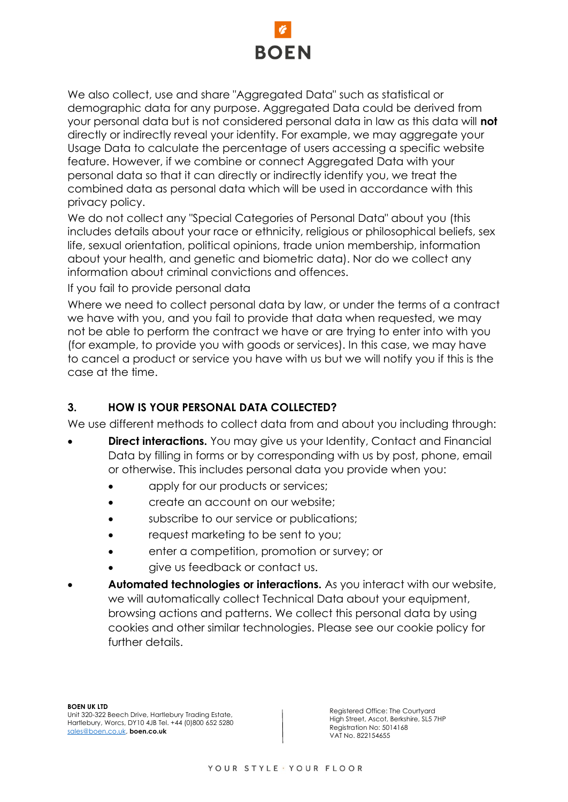

We also collect, use and share "Aggregated Data" such as statistical or demographic data for any purpose. Aggregated Data could be derived from your personal data but is not considered personal data in law as this data will **not** directly or indirectly reveal your identity. For example, we may aggregate your Usage Data to calculate the percentage of users accessing a specific website feature. However, if we combine or connect Aggregated Data with your personal data so that it can directly or indirectly identify you, we treat the combined data as personal data which will be used in accordance with this privacy policy.

We do not collect any "Special Categories of Personal Data" about you (this includes details about your race or ethnicity, religious or philosophical beliefs, sex life, sexual orientation, political opinions, trade union membership, information about your health, and genetic and biometric data). Nor do we collect any information about criminal convictions and offences.

If you fail to provide personal data

Where we need to collect personal data by law, or under the terms of a contract we have with you, and you fail to provide that data when requested, we may not be able to perform the contract we have or are trying to enter into with you (for example, to provide you with goods or services). In this case, we may have to cancel a product or service you have with us but we will notify you if this is the case at the time.

## **3. HOW IS YOUR PERSONAL DATA COLLECTED?**

We use different methods to collect data from and about you including through:

- **Direct interactions.** You may give us your Identity, Contact and Financial Data by filling in forms or by corresponding with us by post, phone, email or otherwise. This includes personal data you provide when you:
	- apply for our products or services;
	- create an account on our website;
	- subscribe to our service or publications;
	- request marketing to be sent to you;
	- enter a competition, promotion or survey; or
	- give us feedback or contact us.
- **Automated technologies or interactions.** As you interact with our website, we will automatically collect Technical Data about your equipment, browsing actions and patterns. We collect this personal data by using cookies and other similar technologies. Please see our cookie policy for further details.

**BOEN UK LTD**

Unit 320-322 Beech Drive, Hartlebury Trading Estate, Hartlebury, Worcs, DY10 4JB Tel. +44 (0)800 652 5280 [sales@boen.co.uk,](mailto:sales@boen.co.uk) **boen.co.uk**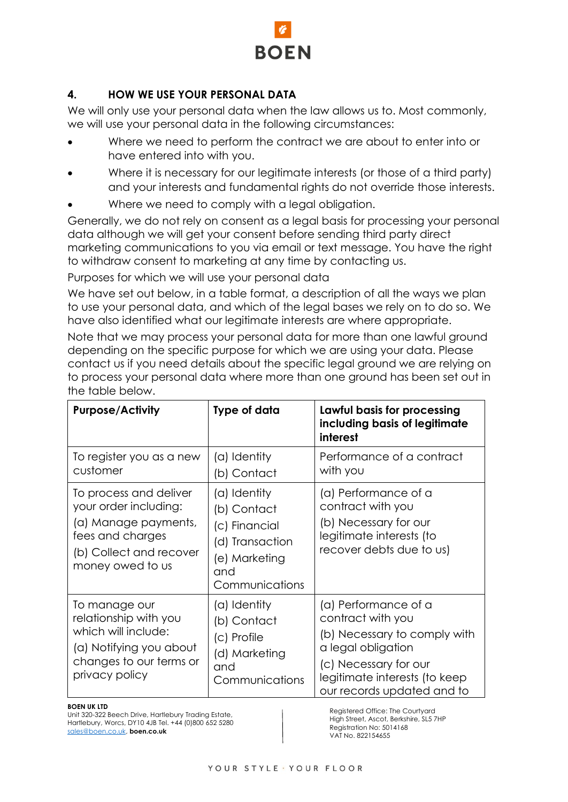

## **4. HOW WE USE YOUR PERSONAL DATA**

We will only use your personal data when the law allows us to. Most commonly, we will use your personal data in the following circumstances:

- Where we need to perform the contract we are about to enter into or have entered into with you.
- Where it is necessary for our legitimate interests (or those of a third party) and your interests and fundamental rights do not override those interests.
- Where we need to comply with a legal obligation.

Generally, we do not rely on consent as a legal basis for processing your personal data although we will get your consent before sending third party direct marketing communications to you via email or text message. You have the right to withdraw consent to marketing at any time by contacting us.

Purposes for which we will use your personal data

We have set out below, in a table format, a description of all the ways we plan to use your personal data, and which of the legal bases we rely on to do so. We have also identified what our legitimate interests are where appropriate.

Note that we may process your personal data for more than one lawful ground depending on the specific purpose for which we are using your data. Please contact us if you need details about the specific legal ground we are relying on to process your personal data where more than one ground has been set out in the table below.

| <b>Purpose/Activity</b>                                                                                                                    | Type of data                                                                                              | Lawful basis for processing<br>including basis of legitimate<br>interest                                                                                                                |
|--------------------------------------------------------------------------------------------------------------------------------------------|-----------------------------------------------------------------------------------------------------------|-----------------------------------------------------------------------------------------------------------------------------------------------------------------------------------------|
| To register you as a new<br>customer                                                                                                       | (a) Identity<br>(b) Contact                                                                               | Performance of a contract<br>with you                                                                                                                                                   |
| To process and deliver<br>your order including:<br>(a) Manage payments,<br>fees and charges<br>(b) Collect and recover<br>money owed to us | (a) Identity<br>(b) Contact<br>(c) Financial<br>(d) Transaction<br>(e) Marketing<br>and<br>Communications | (a) Performance of a<br>contract with you<br>(b) Necessary for our<br>legitimate interests (to<br>recover debts due to us)                                                              |
| To manage our<br>relationship with you<br>which will include:<br>(a) Notifying you about<br>changes to our terms or<br>privacy policy      | (a) Identity<br>(b) Contact<br>(c) Profile<br>(d) Marketing<br>and<br>Communications                      | (a) Performance of a<br>contract with you<br>(b) Necessary to comply with<br>a legal obligation<br>(c) Necessary for our<br>legitimate interests (to keep<br>our records updated and to |

**BOEN UK LTD**

Unit 320-322 Beech Drive, Hartlebury Trading Estate, Hartlebury, Worcs, DY10 4JB Tel. +44 (0)800 652 5280 [sales@boen.co.uk,](mailto:sales@boen.co.uk) **boen.co.uk**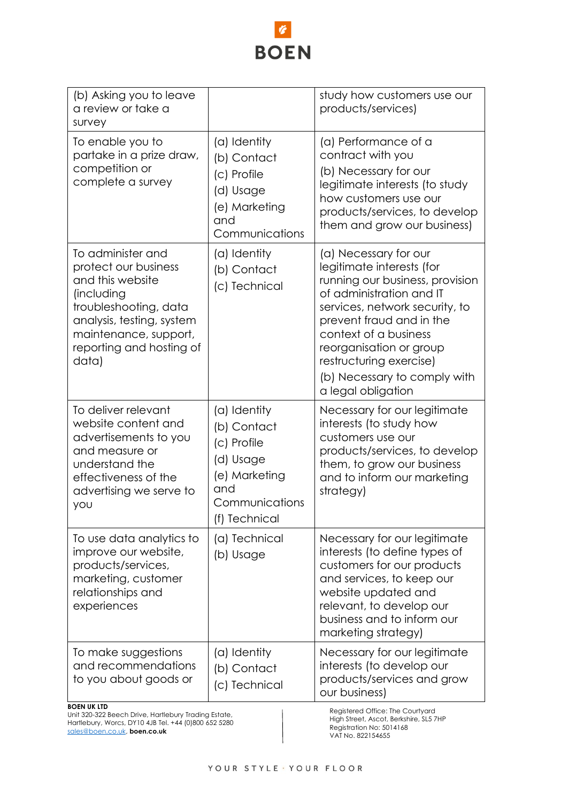

| (b) Asking you to leave<br>a review or take a<br>survey                                                                                                                                         |                                                                                                                    | study how customers use our<br>products/services)                                                                                                                                                                                                                                                                    |
|-------------------------------------------------------------------------------------------------------------------------------------------------------------------------------------------------|--------------------------------------------------------------------------------------------------------------------|----------------------------------------------------------------------------------------------------------------------------------------------------------------------------------------------------------------------------------------------------------------------------------------------------------------------|
| To enable you to<br>partake in a prize draw,<br>competition or<br>complete a survey                                                                                                             | (a) Identity<br>(b) Contact<br>(c) Profile<br>(d) Usage<br>(e) Marketing<br>and<br>Communications                  | (a) Performance of a<br>contract with you<br>(b) Necessary for our<br>legitimate interests (to study<br>how customers use our<br>products/services, to develop<br>them and grow our business)                                                                                                                        |
| To administer and<br>protect our business<br>and this website<br>(including<br>troubleshooting, data<br>analysis, testing, system<br>maintenance, support,<br>reporting and hosting of<br>data) | (a) Identity<br>(b) Contact<br>(c) Technical                                                                       | (a) Necessary for our<br>legitimate interests (for<br>running our business, provision<br>of administration and IT<br>services, network security, to<br>prevent fraud and in the<br>context of a business<br>reorganisation or group<br>restructuring exercise)<br>(b) Necessary to comply with<br>a legal obligation |
| To deliver relevant<br>website content and<br>advertisements to you<br>and measure or<br>understand the<br>effectiveness of the<br>advertising we serve to<br>you                               | (a) Identity<br>(b) Contact<br>(c) Profile<br>(d) Usage<br>(e) Marketing<br>and<br>Communications<br>(f) Technical | Necessary for our legitimate<br>interests (to study how<br>customers use our<br>products/services, to develop<br>them, to grow our business<br>and to inform our marketing<br>strategy)                                                                                                                              |
| To use data analytics to<br>improve our website,<br>products/services,<br>marketing, customer<br>relationships and<br>experiences                                                               | (a) Technical<br>(b) Usage                                                                                         | Necessary for our legitimate<br>interests (to define types of<br>customers for our products<br>and services, to keep our<br>website updated and<br>relevant, to develop our<br>business and to inform our<br>marketing strategy)                                                                                     |
| To make suggestions<br>and recommendations<br>to you about goods or                                                                                                                             | (a) Identity<br>(b) Contact<br>(c) Technical                                                                       | Necessary for our legitimate<br>interests (to develop our<br>products/services and grow<br>our business)                                                                                                                                                                                                             |

**BOEN UK LTD**

Unit 320-322 Beech Drive, Hartlebury Trading Estate, Hartlebury, Worcs, DY10 4JB Tel. +44 (0)800 652 5280 [sales@boen.co.uk,](mailto:sales@boen.co.uk) **boen.co.uk**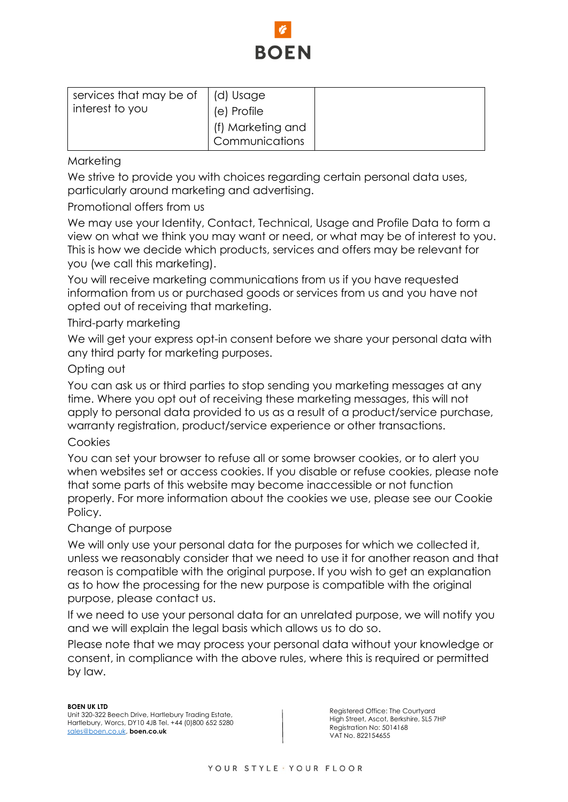

| services that may be of<br>interest to you | (d) Usage<br>(e) Profile            |  |
|--------------------------------------------|-------------------------------------|--|
|                                            | (f) Marketing and<br>Communications |  |

#### Marketing

We strive to provide you with choices regarding certain personal data uses, particularly around marketing and advertising.

#### Promotional offers from us

We may use your Identity, Contact, Technical, Usage and Profile Data to form a view on what we think you may want or need, or what may be of interest to you. This is how we decide which products, services and offers may be relevant for you (we call this marketing).

You will receive marketing communications from us if you have requested information from us or purchased goods or services from us and you have not opted out of receiving that marketing.

### Third-party marketing

We will get your express opt-in consent before we share your personal data with any third party for marketing purposes.

#### Opting out

You can ask us or third parties to stop sending you marketing messages at any time. Where you opt out of receiving these marketing messages, this will not apply to personal data provided to us as a result of a product/service purchase, warranty registration, product/service experience or other transactions.

#### Cookies

You can set your browser to refuse all or some browser cookies, or to alert you when websites set or access cookies. If you disable or refuse cookies, please note that some parts of this website may become inaccessible or not function properly. For more information about the cookies we use, please see our Cookie Policy.

#### Change of purpose

We will only use your personal data for the purposes for which we collected it, unless we reasonably consider that we need to use it for another reason and that reason is compatible with the original purpose. If you wish to get an explanation as to how the processing for the new purpose is compatible with the original purpose, please contact us.

If we need to use your personal data for an unrelated purpose, we will notify you and we will explain the legal basis which allows us to do so.

Please note that we may process your personal data without your knowledge or consent, in compliance with the above rules, where this is required or permitted by law.

#### **BOEN UK LTD**

Unit 320-322 Beech Drive, Hartlebury Trading Estate, Hartlebury, Worcs, DY10 4JB Tel. +44 (0)800 652 5280 [sales@boen.co.uk,](mailto:sales@boen.co.uk) **boen.co.uk**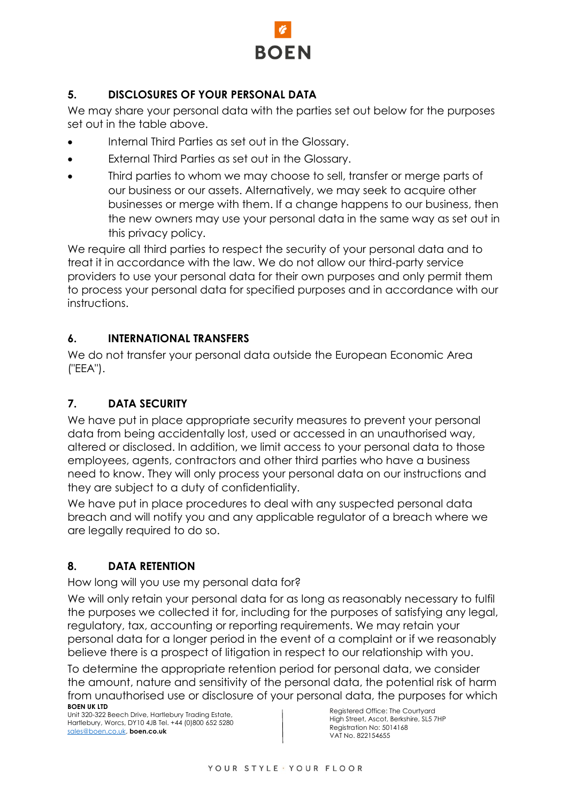

# **5. DISCLOSURES OF YOUR PERSONAL DATA**

We may share your personal data with the parties set out below for the purposes set out in the table above.

- Internal Third Parties as set out in the Glossary.
- External Third Parties as set out in the Glossary.
- Third parties to whom we may choose to sell, transfer or merge parts of our business or our assets. Alternatively, we may seek to acquire other businesses or merge with them. If a change happens to our business, then the new owners may use your personal data in the same way as set out in this privacy policy.

We require all third parties to respect the security of your personal data and to treat it in accordance with the law. We do not allow our third-party service providers to use your personal data for their own purposes and only permit them to process your personal data for specified purposes and in accordance with our instructions.

## **6. INTERNATIONAL TRANSFERS**

We do not transfer your personal data outside the European Economic Area ("EEA").

## **7. DATA SECURITY**

We have put in place appropriate security measures to prevent your personal data from being accidentally lost, used or accessed in an unauthorised way, altered or disclosed. In addition, we limit access to your personal data to those employees, agents, contractors and other third parties who have a business need to know. They will only process your personal data on our instructions and they are subject to a duty of confidentiality.

We have put in place procedures to deal with any suspected personal data breach and will notify you and any applicable regulator of a breach where we are legally required to do so.

# **8. DATA RETENTION**

How long will you use my personal data for?

We will only retain your personal data for as long as reasonably necessary to fulfil the purposes we collected it for, including for the purposes of satisfying any legal, regulatory, tax, accounting or reporting requirements. We may retain your personal data for a longer period in the event of a complaint or if we reasonably believe there is a prospect of litigation in respect to our relationship with you.

**BOEN UK LTD** To determine the appropriate retention period for personal data, we consider the amount, nature and sensitivity of the personal data, the potential risk of harm from unauthorised use or disclosure of your personal data, the purposes for which

Unit 320-322 Beech Drive, Hartlebury Trading Estate, Hartlebury, Worcs, DY10 4JB Tel. +44 (0)800 652 5280 [sales@boen.co.uk,](mailto:sales@boen.co.uk) **boen.co.uk**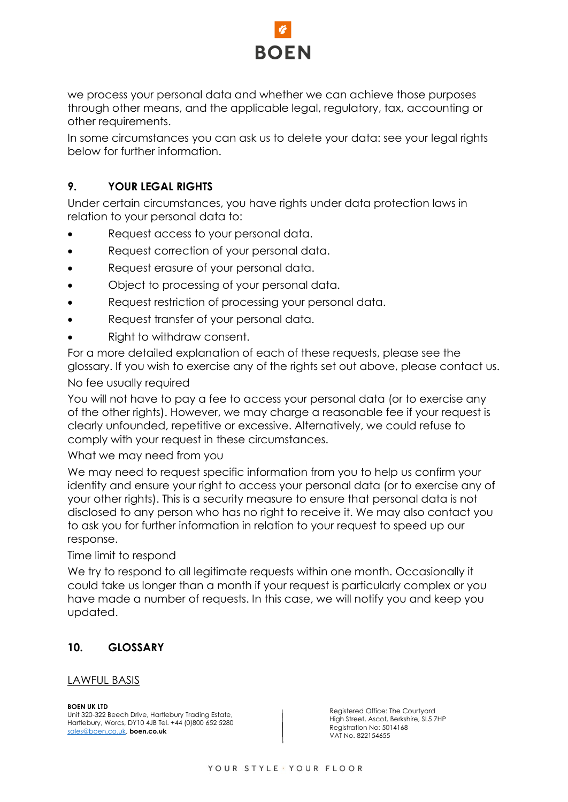

we process your personal data and whether we can achieve those purposes through other means, and the applicable legal, regulatory, tax, accounting or other requirements.

In some circumstances you can ask us to delete your data: see your legal rights below for further information.

## **9. YOUR LEGAL RIGHTS**

Under certain circumstances, you have rights under data protection laws in relation to your personal data to:

- Request access to your personal data.
- Request correction of your personal data.
- Request erasure of your personal data.
- Object to processing of your personal data.
- Request restriction of processing your personal data.
- Request transfer of your personal data.
- Right to withdraw consent.

For a more detailed explanation of each of these requests, please see the glossary. If you wish to exercise any of the rights set out above, please contact us.

No fee usually required

You will not have to pay a fee to access your personal data (or to exercise any of the other rights). However, we may charge a reasonable fee if your request is clearly unfounded, repetitive or excessive. Alternatively, we could refuse to comply with your request in these circumstances.

What we may need from you

We may need to request specific information from you to help us confirm your identity and ensure your right to access your personal data (or to exercise any of your other rights). This is a security measure to ensure that personal data is not disclosed to any person who has no right to receive it. We may also contact you to ask you for further information in relation to your request to speed up our response.

### Time limit to respond

We try to respond to all legitimate requests within one month. Occasionally it could take us longer than a month if your request is particularly complex or you have made a number of requests. In this case, we will notify you and keep you updated.

## **10. GLOSSARY**

#### LAWFUL BASIS

**BOEN UK LTD**

Unit 320-322 Beech Drive, Hartlebury Trading Estate, Hartlebury, Worcs, DY10 4JB Tel. +44 (0)800 652 5280 [sales@boen.co.uk,](mailto:sales@boen.co.uk) **boen.co.uk**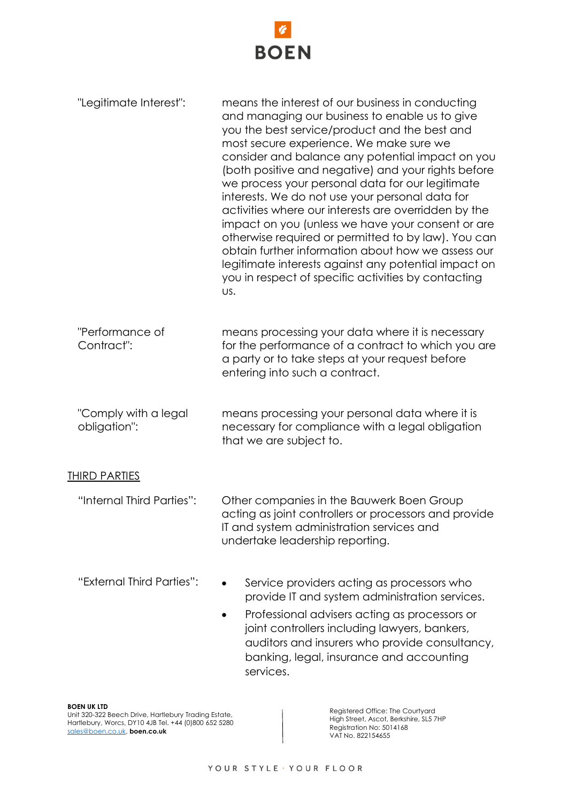| <b>BOEN</b>                          |                                                                                                                                                                                                                                                                                                                                                                                                                                                                                                                                                                                                                                                                                                                                                                  |  |
|--------------------------------------|------------------------------------------------------------------------------------------------------------------------------------------------------------------------------------------------------------------------------------------------------------------------------------------------------------------------------------------------------------------------------------------------------------------------------------------------------------------------------------------------------------------------------------------------------------------------------------------------------------------------------------------------------------------------------------------------------------------------------------------------------------------|--|
| "Legitimate Interest":               | means the interest of our business in conducting<br>and managing our business to enable us to give<br>you the best service/product and the best and<br>most secure experience. We make sure we<br>consider and balance any potential impact on you<br>(both positive and negative) and your rights before<br>we process your personal data for our legitimate<br>interests. We do not use your personal data for<br>activities where our interests are overridden by the<br>impact on you (unless we have your consent or are<br>otherwise required or permitted to by law). You can<br>obtain further information about how we assess our<br>legitimate interests against any potential impact on<br>you in respect of specific activities by contacting<br>US. |  |
| "Performance of<br>Contract":        | means processing your data where it is necessary<br>for the performance of a contract to which you are<br>a party or to take steps at your request before<br>entering into such a contract.                                                                                                                                                                                                                                                                                                                                                                                                                                                                                                                                                                      |  |
| "Comply with a legal<br>obligation": | means processing your personal data where it is<br>necessary for compliance with a legal obligation<br>that we are subject to.                                                                                                                                                                                                                                                                                                                                                                                                                                                                                                                                                                                                                                   |  |
| <b>THIRD PARTIES</b>                 |                                                                                                                                                                                                                                                                                                                                                                                                                                                                                                                                                                                                                                                                                                                                                                  |  |
| "Internal Third Parties":            | Other companies in the Bauwerk Boen Group<br>acting as joint controllers or processors and provide<br>IT and system administration services and<br>undertake leadership reporting.                                                                                                                                                                                                                                                                                                                                                                                                                                                                                                                                                                               |  |
| "External Third Parties":            | Service providers acting as processors who<br>provide IT and system administration services.<br>Professional advisers acting as processors or<br>joint controllers including lawyers, bankers,<br>auditors and insurers who provide consultancy,<br>banking, legal, insurance and accounting<br>services.                                                                                                                                                                                                                                                                                                                                                                                                                                                        |  |

Vé

**BOEN UK LTD**

Unit 320-322 Beech Drive, Hartlebury Trading Estate, Hartlebury, Worcs, DY10 4JB Tel. +44 (0)800 652 5280 [sales@boen.co.uk,](mailto:sales@boen.co.uk) **boen.co.uk**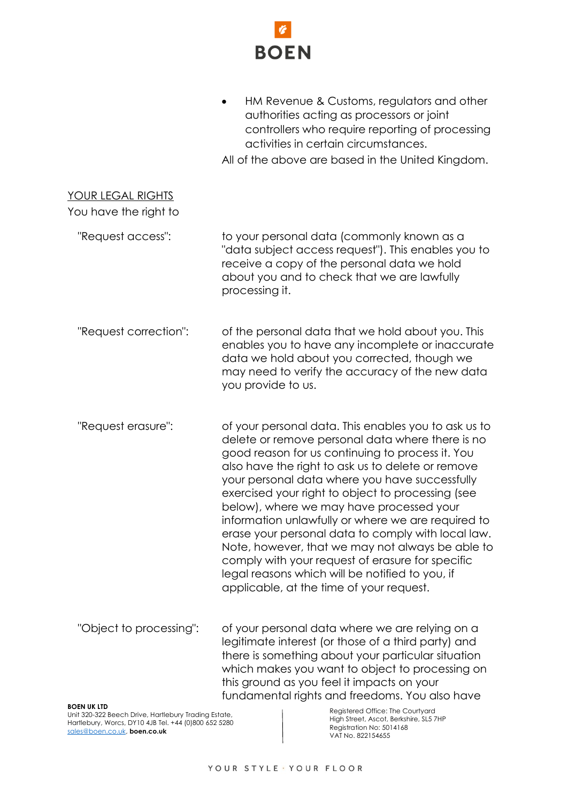

| HM Revenue & Customs, regulators and other<br>authorities acting as processors or joint<br>controllers who require reporting of processing<br>activities in certain circumstances.<br>All of the above are based in the United Kingdom.                                                                                                                                                                                                                                                                                                                                                                                                                                                 |
|-----------------------------------------------------------------------------------------------------------------------------------------------------------------------------------------------------------------------------------------------------------------------------------------------------------------------------------------------------------------------------------------------------------------------------------------------------------------------------------------------------------------------------------------------------------------------------------------------------------------------------------------------------------------------------------------|
|                                                                                                                                                                                                                                                                                                                                                                                                                                                                                                                                                                                                                                                                                         |
|                                                                                                                                                                                                                                                                                                                                                                                                                                                                                                                                                                                                                                                                                         |
| to your personal data (commonly known as a<br>"data subject access request"). This enables you to<br>receive a copy of the personal data we hold<br>about you and to check that we are lawfully<br>processing it.                                                                                                                                                                                                                                                                                                                                                                                                                                                                       |
| of the personal data that we hold about you. This<br>enables you to have any incomplete or inaccurate<br>data we hold about you corrected, though we<br>may need to verify the accuracy of the new data<br>you provide to us.                                                                                                                                                                                                                                                                                                                                                                                                                                                           |
| of your personal data. This enables you to ask us to<br>delete or remove personal data where there is no<br>good reason for us continuing to process it. You<br>also have the right to ask us to delete or remove<br>your personal data where you have successfully<br>exercised your right to object to processing (see<br>below), where we may have processed your<br>information unlawfully or where we are required to<br>erase your personal data to comply with local law.<br>Note, however, that we may not always be able to<br>comply with your request of erasure for specific<br>legal reasons which will be notified to you, if<br>applicable, at the time of your request. |
| of your personal data where we are relying on a<br>legitimate interest (or those of a third party) and<br>there is something about your particular situation<br>which makes you want to object to processing on<br>this ground as you feel it impacts on your<br>fundamental rights and freedoms. You also have<br>Registered Office: The Courtyard<br>Init 320,322 Booch Drive, Hartlobury Trading Estate                                                                                                                                                                                                                                                                              |
|                                                                                                                                                                                                                                                                                                                                                                                                                                                                                                                                                                                                                                                                                         |

Unit 320-322 Beech Drive, Hartlebury Trading Estate, Hartlebury, Worcs, DY10 4JB Tel. +44 (0)800 652 5280 [sales@boen.co.uk,](mailto:sales@boen.co.uk) **boen.co.uk**

High Street, Ascot, Berkshire, SL5 7HP Registration No: 5014168 VAT No. 822154655